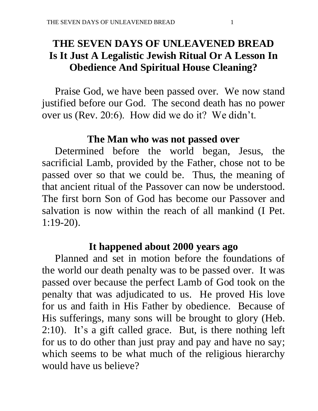# **THE SEVEN DAYS OF UNLEAVENED BREAD Is It Just A Legalistic Jewish Ritual Or A Lesson In Obedience And Spiritual House Cleaning?**

 Praise God, we have been passed over. We now stand justified before our God. The second death has no power over us (Rev. 20:6). How did we do it? We didn't.

## **The Man who was not passed over**

 Determined before the world began, Jesus, the sacrificial Lamb, provided by the Father, chose not to be passed over so that we could be. Thus, the meaning of that ancient ritual of the Passover can now be understood. The first born Son of God has become our Passover and salvation is now within the reach of all mankind (I Pet. 1:19-20).

### **It happened about 2000 years ago**

 Planned and set in motion before the foundations of the world our death penalty was to be passed over. It was passed over because the perfect Lamb of God took on the penalty that was adjudicated to us. He proved His love for us and faith in His Father by obedience. Because of His sufferings, many sons will be brought to glory (Heb. 2:10). It's a gift called grace. But, is there nothing left for us to do other than just pray and pay and have no say; which seems to be what much of the religious hierarchy would have us believe?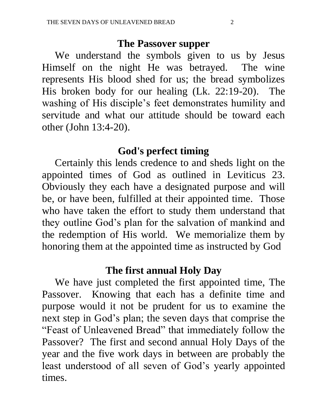#### **The Passover supper**

 We understand the symbols given to us by Jesus Himself on the night He was betrayed. The wine represents His blood shed for us; the bread symbolizes His broken body for our healing (Lk. 22:19-20). The washing of His disciple's feet demonstrates humility and servitude and what our attitude should be toward each other (John 13:4-20).

### **God's perfect timing**

 Certainly this lends credence to and sheds light on the appointed times of God as outlined in Leviticus 23. Obviously they each have a designated purpose and will be, or have been, fulfilled at their appointed time. Those who have taken the effort to study them understand that they outline God's plan for the salvation of mankind and the redemption of His world. We memorialize them by honoring them at the appointed time as instructed by God

### **The first annual Holy Day**

 We have just completed the first appointed time, The Passover. Knowing that each has a definite time and purpose would it not be prudent for us to examine the next step in God's plan; the seven days that comprise the "Feast of Unleavened Bread" that immediately follow the Passover? The first and second annual Holy Days of the year and the five work days in between are probably the least understood of all seven of God's yearly appointed times.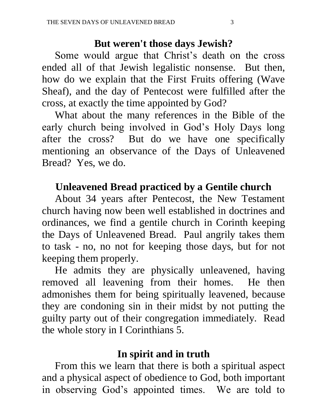## **But weren't those days Jewish?**

 Some would argue that Christ's death on the cross ended all of that Jewish legalistic nonsense. But then, how do we explain that the First Fruits offering (Wave Sheaf), and the day of Pentecost were fulfilled after the cross, at exactly the time appointed by God?

 What about the many references in the Bible of the early church being involved in God's Holy Days long after the cross? But do we have one specifically mentioning an observance of the Days of Unleavened Bread? Yes, we do.

# **Unleavened Bread practiced by a Gentile church**

 About 34 years after Pentecost, the New Testament church having now been well established in doctrines and ordinances, we find a gentile church in Corinth keeping the Days of Unleavened Bread. Paul angrily takes them to task - no, no not for keeping those days, but for not keeping them properly.

 He admits they are physically unleavened, having removed all leavening from their homes. He then admonishes them for being spiritually leavened, because they are condoning sin in their midst by not putting the guilty party out of their congregation immediately. Read the whole story in I Corinthians 5.

## **In spirit and in truth**

 From this we learn that there is both a spiritual aspect and a physical aspect of obedience to God, both important in observing God's appointed times. We are told to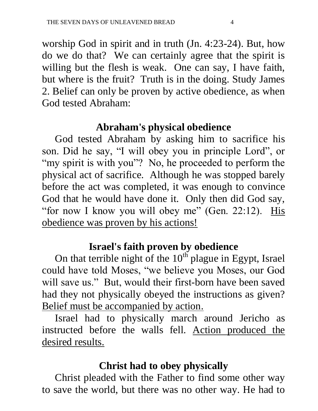worship God in spirit and in truth (Jn. 4:23-24). But, how do we do that? We can certainly agree that the spirit is willing but the flesh is weak. One can say, I have faith, but where is the fruit? Truth is in the doing. Study James 2. Belief can only be proven by active obedience, as when God tested Abraham:

# **Abraham's physical obedience**

 God tested Abraham by asking him to sacrifice his son. Did he say, "I will obey you in principle Lord", or "my spirit is with you"? No, he proceeded to perform the physical act of sacrifice. Although he was stopped barely before the act was completed, it was enough to convince God that he would have done it. Only then did God say, "for now I know you will obey me" (Gen. 22:12). His obedience was proven by his actions!

# **Israel's faith proven by obedience**

On that terrible night of the  $10<sup>th</sup>$  plague in Egypt, Israel could have told Moses, "we believe you Moses, our God will save us." But, would their first-born have been saved had they not physically obeyed the instructions as given? Belief must be accompanied by action.

 Israel had to physically march around Jericho as instructed before the walls fell. Action produced the desired results.

# **Christ had to obey physically**

 Christ pleaded with the Father to find some other way to save the world, but there was no other way. He had to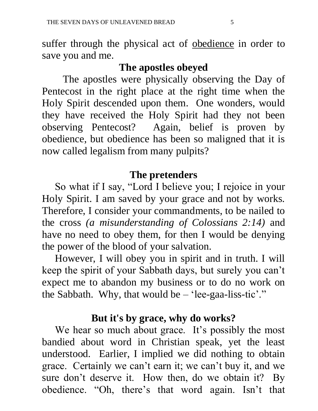suffer through the physical act of obedience in order to save you and me.

## **The apostles obeyed**

 The apostles were physically observing the Day of Pentecost in the right place at the right time when the Holy Spirit descended upon them. One wonders, would they have received the Holy Spirit had they not been observing Pentecost? Again, belief is proven by obedience, but obedience has been so maligned that it is now called legalism from many pulpits?

## **The pretenders**

 So what if I say, "Lord I believe you; I rejoice in your Holy Spirit. I am saved by your grace and not by works. Therefore, I consider your commandments, to be nailed to the cross *(a misunderstanding of Colossians 2:14)* and have no need to obey them, for then I would be denying the power of the blood of your salvation.

 However, I will obey you in spirit and in truth. I will keep the spirit of your Sabbath days, but surely you can't expect me to abandon my business or to do no work on the Sabbath. Why, that would be  $-$  'lee-gaa-liss-tic'."

### **But it's by grace, why do works?**

We hear so much about grace. It's possibly the most bandied about word in Christian speak, yet the least understood. Earlier, I implied we did nothing to obtain grace. Certainly we can't earn it; we can't buy it, and we sure don't deserve it. How then, do we obtain it? By obedience. "Oh, there's that word again. Isn't that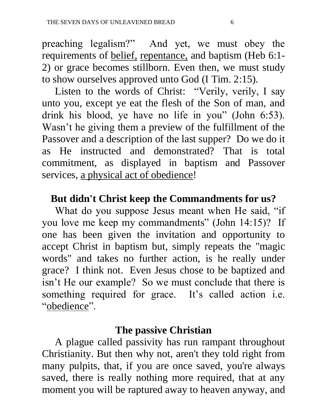preaching legalism?" And yet, we must obey the requirements of belief, repentance, and baptism (Heb 6:1- 2) or grace becomes stillborn. Even then, we must study to show ourselves approved unto God (I Tim. 2:15).

 Listen to the words of Christ: "Verily, verily, I say unto you, except ye eat the flesh of the Son of man, and drink his blood, ye have no life in you" (John 6:53). Wasn't he giving them a preview of the fulfillment of the Passover and a description of the last supper? Do we do it as He instructed and demonstrated? That is total commitment, as displayed in baptism and Passover services, a physical act of obedience!

# **But didn't Christ keep the Commandments for us?**

What do you suppose Jesus meant when He said, "if you love me keep my commandments" (John 14:15)? If one has been given the invitation and opportunity to accept Christ in baptism but, simply repeats the "magic words" and takes no further action, is he really under grace? I think not. Even Jesus chose to be baptized and isn't He our example? So we must conclude that there is something required for grace. It's called action i.e. "obedience".

### **The passive Christian**

 A plague called passivity has run rampant throughout Christianity. But then why not, aren't they told right from many pulpits, that, if you are once saved, you're always saved, there is really nothing more required, that at any moment you will be raptured away to heaven anyway, and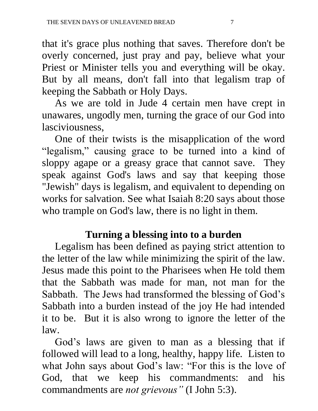that it's grace plus nothing that saves. Therefore don't be overly concerned, just pray and pay, believe what your Priest or Minister tells you and everything will be okay. But by all means, don't fall into that legalism trap of keeping the Sabbath or Holy Days.

 As we are told in Jude 4 certain men have crept in unawares, ungodly men, turning the grace of our God into lasciviousness,

 One of their twists is the misapplication of the word "legalism," causing grace to be turned into a kind of sloppy agape or a greasy grace that cannot save. They speak against God's laws and say that keeping those "Jewish" days is legalism, and equivalent to depending on works for salvation. See what Isaiah 8:20 says about those who trample on God's law, there is no light in them.

# **Turning a blessing into to a burden**

 Legalism has been defined as paying strict attention to the letter of the law while minimizing the spirit of the law. Jesus made this point to the Pharisees when He told them that the Sabbath was made for man, not man for the Sabbath. The Jews had transformed the blessing of God's Sabbath into a burden instead of the joy He had intended it to be. But it is also wrong to ignore the letter of the law.

 God's laws are given to man as a blessing that if followed will lead to a long, healthy, happy life. Listen to what John says about God's law: "For this is the love of God, that we keep his commandments: and his commandments are *not grievous"* (I John 5:3).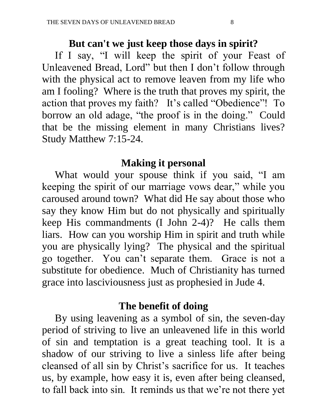#### **But can't we just keep those days in spirit?**

 If I say, "I will keep the spirit of your Feast of Unleavened Bread, Lord" but then I don't follow through with the physical act to remove leaven from my life who am I fooling? Where is the truth that proves my spirit, the action that proves my faith? It's called "Obedience"! To borrow an old adage, "the proof is in the doing." Could that be the missing element in many Christians lives? Study Matthew 7:15-24.

## **Making it personal**

 What would your spouse think if you said, "I am keeping the spirit of our marriage vows dear," while you caroused around town? What did He say about those who say they know Him but do not physically and spiritually keep His commandments (I John 2-4)? He calls them liars. How can you worship Him in spirit and truth while you are physically lying? The physical and the spiritual go together. You can't separate them. Grace is not a substitute for obedience. Much of Christianity has turned grace into lasciviousness just as prophesied in Jude 4.

### **The benefit of doing**

 By using leavening as a symbol of sin, the seven-day period of striving to live an unleavened life in this world of sin and temptation is a great teaching tool. It is a shadow of our striving to live a sinless life after being cleansed of all sin by Christ's sacrifice for us. It teaches us, by example, how easy it is, even after being cleansed, to fall back into sin. It reminds us that we're not there yet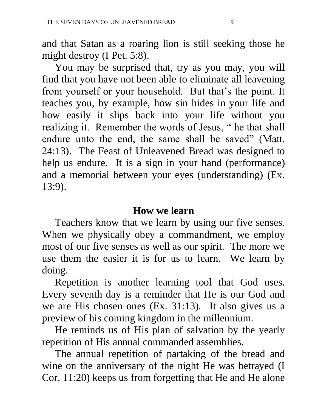and that Satan as a roaring lion is still seeking those he might destroy (I Pet. 5:8).

 You may be surprised that, try as you may, you will find that you have not been able to eliminate all leavening from yourself or your household. But that's the point. It teaches you, by example, how sin hides in your life and how easily it slips back into your life without you realizing it. Remember the words of Jesus, " he that shall endure unto the end, the same shall be saved" (Matt. 24:13). The Feast of Unleavened Bread was designed to help us endure. It is a sign in your hand (performance) and a memorial between your eyes (understanding) (Ex. 13:9).

### **How we learn**

 Teachers know that we learn by using our five senses. When we physically obey a commandment, we employ most of our five senses as well as our spirit. The more we use them the easier it is for us to learn. We learn by doing.

 Repetition is another learning tool that God uses. Every seventh day is a reminder that He is our God and we are His chosen ones (Ex. 31:13). It also gives us a preview of his coming kingdom in the millennium.

 He reminds us of His plan of salvation by the yearly repetition of His annual commanded assemblies.

 The annual repetition of partaking of the bread and wine on the anniversary of the night He was betrayed (I Cor. 11:20) keeps us from forgetting that He and He alone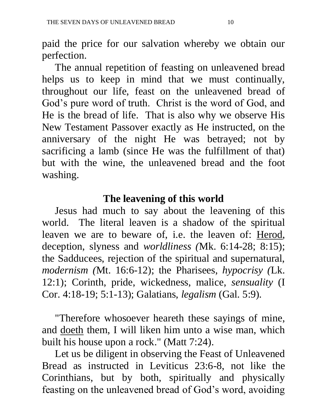paid the price for our salvation whereby we obtain our perfection.

 The annual repetition of feasting on unleavened bread helps us to keep in mind that we must continually, throughout our life, feast on the unleavened bread of God's pure word of truth. Christ is the word of God, and He is the bread of life. That is also why we observe His New Testament Passover exactly as He instructed, on the anniversary of the night He was betrayed; not by sacrificing a lamb (since He was the fulfillment of that) but with the wine, the unleavened bread and the foot washing.

## **The leavening of this world**

 Jesus had much to say about the leavening of this world. The literal leaven is a shadow of the spiritual leaven we are to beware of, i.e. the leaven of: Herod, deception, slyness and *worldliness (*Mk. 6:14-28; 8:15); the Sadducees, rejection of the spiritual and supernatural, *modernism (*Mt. 16:6-12); the Pharisees, *hypocrisy (*Lk. 12:1); Corinth, pride, wickedness, malice, *sensuality* (I Cor. 4:18-19; 5:1-13); Galatians, *legalism* (Gal. 5:9).

 "Therefore whosoever heareth these sayings of mine, and doeth them, I will liken him unto a wise man, which built his house upon a rock." (Matt 7:24).

 Let us be diligent in observing the Feast of Unleavened Bread as instructed in Leviticus 23:6-8, not like the Corinthians, but by both, spiritually and physically feasting on the unleavened bread of God's word, avoiding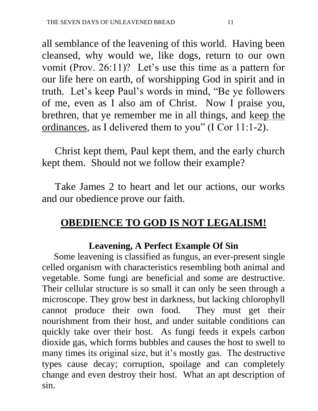all semblance of the leavening of this world. Having been cleansed, why would we, like dogs, return to our own vomit (Prov. 26:11)? Let's use this time as a pattern for our life here on earth, of worshipping God in spirit and in truth. Let's keep Paul's words in mind, "Be ye followers of me, even as I also am of Christ. Now I praise you, brethren, that ye remember me in all things, and keep the ordinances, as I delivered them to you" (I Cor 11:1-2).

 Christ kept them, Paul kept them, and the early church kept them. Should not we follow their example?

 Take James 2 to heart and let our actions, our works and our obedience prove our faith.

# **OBEDIENCE TO GOD IS NOT LEGALISM!**

## **Leavening, A Perfect Example Of Sin**

 Some leavening is classified as fungus, an ever-present single celled organism with characteristics resembling both animal and vegetable. Some fungi are beneficial and some are destructive. Their cellular structure is so small it can only be seen through a microscope. They grow best in darkness, but lacking chlorophyll cannot produce their own food. They must get their nourishment from their host, and under suitable conditions can quickly take over their host. As fungi feeds it expels carbon dioxide gas, which forms bubbles and causes the host to swell to many times its original size, but it's mostly gas. The destructive types cause decay; corruption, spoilage and can completely change and even destroy their host. What an apt description of sin.